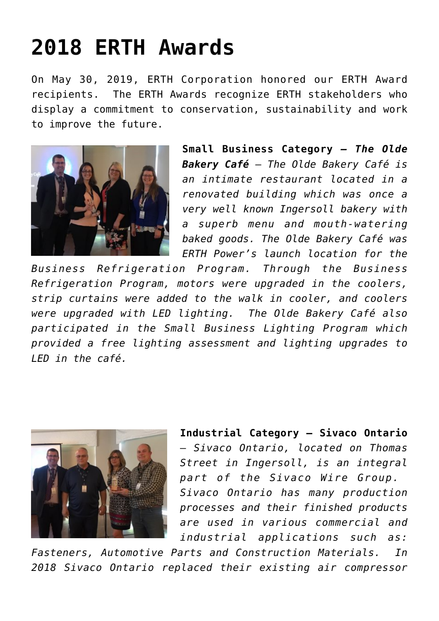## **[2018 ERTH Awards](https://www.erthcorp.com/2019/06/11/2018-erth-awards/)**

On May 30, 2019, ERTH Corporation honored our ERTH Award recipients. The ERTH Awards recognize ERTH stakeholders who display a commitment to conservation, sustainability and work to improve the future.



**Small Business Category** *– The Olde Bakery Café* – *The Olde Bakery Café is an intimate restaurant located in a renovated building which was once a very well known Ingersoll bakery with a superb menu and mouth-watering baked goods. The Olde Bakery Café was ERTH Power's launch location for the*

*Business Refrigeration Program. Through the Business Refrigeration Program, motors were upgraded in the coolers, strip curtains were added to the walk in cooler, and coolers were upgraded with LED lighting. The Olde Bakery Café also participated in the Small Business Lighting Program which provided a free lighting assessment and lighting upgrades to LED in the café.*



**Industrial Category – Sivaco Ontario** – *Sivaco Ontario, located on Thomas Street in Ingersoll, is an integral part of the Sivaco Wire Group. Sivaco Ontario has many production processes and their finished products are used in various commercial and industrial applications such as:*

*Fasteners, Automotive Parts and Construction Materials. In 2018 Sivaco Ontario replaced their existing air compressor*